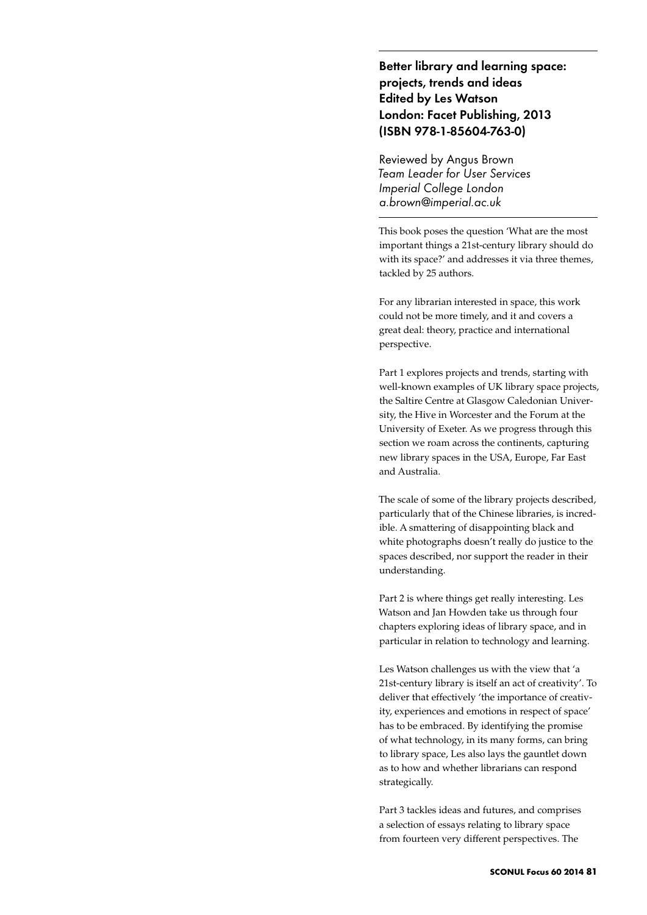Better library and learning space: projects, trends and ideas Edited by Les Watson London: Facet Publishing, 2013 (ISBN 978-1-85604-763-0)

Reviewed by Angus Brown *Team Leader for User Services Imperial College London a.brown@imperial.ac.uk*

This book poses the question 'What are the most important things a 21st-century library should do with its space?' and addresses it via three themes, tackled by 25 authors.

For any librarian interested in space, this work could not be more timely, and it and covers a great deal: theory, practice and international perspective.

Part 1 explores projects and trends, starting with well-known examples of UK library space projects, the Saltire Centre at Glasgow Caledonian University, the Hive in Worcester and the Forum at the University of Exeter. As we progress through this section we roam across the continents, capturing new library spaces in the USA, Europe, Far East and Australia.

The scale of some of the library projects described, particularly that of the Chinese libraries, is incredible. A smattering of disappointing black and white photographs doesn't really do justice to the spaces described, nor support the reader in their understanding.

Part 2 is where things get really interesting. Les Watson and Jan Howden take us through four chapters exploring ideas of library space, and in particular in relation to technology and learning.

Les Watson challenges us with the view that 'a 21st-century library is itself an act of creativity'. To deliver that effectively 'the importance of creativity, experiences and emotions in respect of space' has to be embraced. By identifying the promise of what technology, in its many forms, can bring to library space, Les also lays the gauntlet down as to how and whether librarians can respond strategically.

Part 3 tackles ideas and futures, and comprises a selection of essays relating to library space from fourteen very different perspectives. The